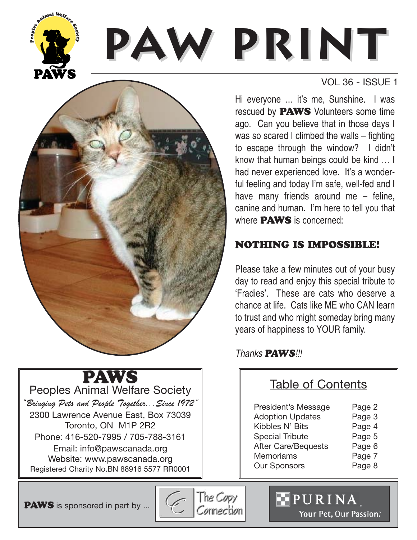



Peopl<sub>er</sub>

## PAWS

Peoples Animal Welfare Society "Bringing Pets and People Together...Since 1972" 2300 Lawrence Avenue East, Box 73039 Toronto, ON M1P 2R2 Phone: 416-520-7995 / 705-788-3161 Email: info@pawscanada.org Website: www.pawscanada.org Registered Charity No.BN 88916 5577 RR0001

VOL 36 - ISSUE 1

Hi everyone … it's me, Sunshine. I was rescued by **PAWS** Volunteers some time ago. Can you believe that in those days I was so scared I climbed the walls – fighting to escape through the window? I didn't know that human beings could be kind … I had never experienced love. It's a wonderful feeling and today I'm safe, well-fed and I have many friends around me – feline, canine and human. I'm here to tell you that where **PAWS** is concerned:

### NOTHING IS IMPOSSIBLE!

Please take a few minutes out of your busy day to read and enjoy this special tribute to 'Fradies'. These are cats who deserve a chance at life. Cats like ME who CAN learn to trust and who might someday bring many years of happiness to YOUR family.

Thanks *PAWS*!!!

## Table of Contents

| President's Message        | Page 2 |
|----------------------------|--------|
| <b>Adoption Updates</b>    | Page 3 |
| Kibbles N' Bits            | Page 4 |
| <b>Special Tribute</b>     | Page 5 |
| <b>After Care/Bequests</b> | Page 6 |
| <b>Memoriams</b>           | Page 7 |
| <b>Our Sponsors</b>        | Page 8 |
|                            |        |

PURINA

Your Pet, Our Passion.

PAWS is sponsored in part by ...

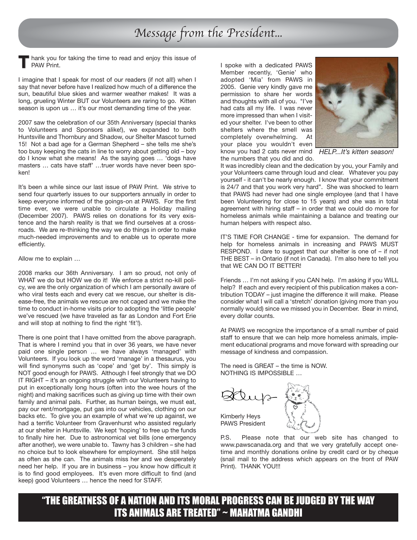## Message from the President...

hank you for taking the time to read and enjoy this issue of PAW Print. **T**

I imagine that I speak for most of our readers (if not all!) when I say that never before have I realized how much of a difference the sun, beautiful blue skies and warmer weather makes! It was a long, grueling Winter BUT our Volunteers are raring to go. Kitten season is upon us … it's our most demanding time of the year.

2007 saw the celebration of our 35th Anniversary (special thanks to Volunteers and Sponsors alike!), we expanded to both Huntsville and Thornbury and Shadow, our Shelter Mascot turned 15! Not a bad age for a German Shepherd – she tells me she's too busy keeping the cats in line to worry about getting old – boy do I know what she means! As the saying goes … 'dogs have masters … cats have staff' …truer words have never been spoken!

It's been a while since our last issue of PAW Print. We strive to send four quarterly issues to our supporters annually in order to keep everyone informed of the goings-on at PAWS. For the first time ever, we were unable to circulate a Holiday mailing (December 2007). PAWS relies on donations for its very existence and the harsh reality is that we find ourselves at a crossroads. We are re-thinking the way we do things in order to make much-needed improvements and to enable us to operate more efficiently.

Allow me to explain …

2008 marks our 36th Anniversary. I am so proud, not only of WHAT we do but HOW we do it! We enforce a strict no-kill policy, we are the only organization of which I am personally aware of who viral tests each and every cat we rescue, our shelter is disease-free, the animals we rescue are not caged and we make the time to conduct in-home visits prior to adopting the 'little people' we've rescued (we have traveled as far as London and Fort Erie and will stop at nothing to find the right 'fit'!).

There is one point that I have omitted from the above paragraph. That is where I remind you that in over 36 years, we have never paid one single person … we have always 'managed' with Volunteers. If you look up the word 'manage' in a thesaurus, you will find synonyms such as 'cope' and 'get by'. This simply is NOT good enough for PAWS. Although I feel strongly that we DO IT RIGHT – it's an ongoing struggle with our Volunteers having to put in exceptionally long hours (often into the wee hours of the night) and making sacrifices such as giving up time with their own family and animal pals. Further, as human beings, we must eat, pay our rent/mortgage, put gas into our vehicles, clothing on our backs etc. To give you an example of what we're up against, we had a terrific Volunteer from Gravenhurst who assisted regularly at our shelter in Huntsville. We kept 'hoping' to free up the funds to finally hire her. Due to astronomical vet bills (one emergency after another), we were unable to. Tawny has 3 children – she had no choice but to look elsewhere for employment. She still helps as often as she can. The animals miss her and we desperately need her help. If you are in business – you know how difficult it is to find good employees. It's even more difficult to find (and keep) good Volunteers … hence the need for STAFF.

I spoke with a dedicated PAWS Member recently, 'Genie' who adopted 'Mia' from PAWS in 2005. Genie very kindly gave me permission to share her words and thoughts with all of you. "I've had cats all my life. I was never more impressed than when I visited your shelter. I've been to other shelters where the smell was completely overwhelming. At your place you wouldn't even know you had 2 cats never mind the numbers that you did and do.



*HELP...It's kitten season!*

It was incredibly clean and the dedication by you, your Family and your Volunteers came through loud and clear. Whatever you pay yourself - it can't be nearly enough. I know that your commitment is 24/7 and that you work very hard". She was shocked to learn that PAWS had never had one single employee (and that I have been Volunteering for close to 15 years) and she was in total agreement with hiring staff – in order that we could do more for homeless animals while maintaining a balance and treating our human helpers with respect also.

IT'S TIME FOR CHANGE - time for expansion. The demand for help for homeless animals in increasing and PAWS MUST RESPOND. I dare to suggest that our shelter is one of – if not THE BEST – in Ontario (if not in Canada). I'm also here to tell you that WE CAN DO IT BETTER!

Friends … I'm not asking if you CAN help. I'm asking if you WILL help? If each and every recipient of this publication makes a contribution TODAY – just imagine the difference it will make. Please consider what I will call a 'stretch' donation (giving more than you normally would) since we missed you in December. Bear in mind, every dollar counts.

At PAWS we recognize the importance of a small number of paid staff to ensure that we can help more homeless animals, implement educational programs and move forward with spreading our message of kindness and compassion.

The need is GREAT – the time is NOW. NOTHING IS IMPOSSIBLE …

Kimberly Heys PAWS President

P.S. Please note that our web site has changed to www.pawscanada.org and that we very gratefully accept onetime and monthly donations online by credit card or by cheque (snail mail to the address which appears on the front of PAW Print). THANK YOU!!!

"THE GREATNESS OF A NATION AND ITS MORAL PROGRESS CAN BE JUDGED BY THE WAY ITS ANIMALS ARE TREATED" ~ MAHATMA GANDHI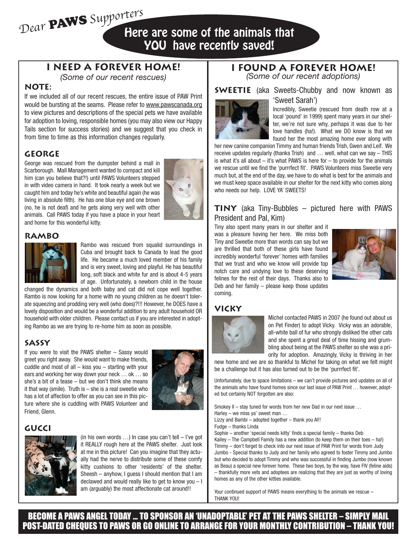## Dear PAWS Supporters Here are some of the animals that YOU have recently saved!

### **I NEED A FOREVER HOME!**

*(Some of our recent rescues)*

#### **NOTE:**

If we included all of our recent rescues, the entire issue of PAW Print would be bursting at the seams. Please refer to www.pawscanada.org to view pictures and descriptions of the special pets we have available for adoption to loving, responsible homes (you may also view our Happy Tails section for success stories) and we suggest that you check in from time to time as this information changes regularly.

### **GEORGE**

George was rescued from the dumpster behind a mall in Scarborough. Mall Management wanted to compact and kill him (can you believe that?!) until PAWS Volunteers stepped in with video camera in hand. It took nearly a week but we caught him and today he's white and beautiful again (he was living in absolute filth). He has one blue eye and one brown (no, he is not deaf) and he gets along very well with other animals. Call PAWS today if you have a place in your heart and home for this wonderful kitty.



#### **RAMBO**



Rambo was rescued from squalid surroundings in Cuba and brought back to Canada to lead the good life. He became a much loved member of his family and is very sweet, loving and playful. He has beautiful long, soft black and white fur and is about 4-5 years of age. Unfortunately, a newborn child in the house

changed the dynamics and both baby and cat did not cope well together. Rambo is now looking for a home with no young children as he doesn't tolerate squeezing and prodding very well (who does)?!!! However, he DOES have a lovely disposition and would be a wonderful addition to any adult household OR household with older children. Please contact us if you are interested in adopting Rambo as we are trying to re-home him as soon as possible.

#### **SASSY**

If you were to visit the PAWS shelter – Sassy would greet you right away. She would want to make friends, cuddle and most of all – kiss you – starting with your ears and working her way down your neck … ok … so she's a bit of a tease – but we don't think she means it that way (smile). Truth is – she is a real sweetie who has a lot of affection to offer as you can see in this picture where she is cuddling with PAWS Volunteer and Friend, Glenn.



#### **GUCCI**



(in his own words …) In case you can't tell – I've got it REALLY rough here at the PAWS shelter. Just look at me in this picture! Can you imagine that they actually had the nerve to distribute some of these comfy kitty cushions to other 'residents' of the shelter. Sheesh – anyhow, I guess I should mention that I am declawed and would really like to get to know you – I am (arguably) the most affectionate cat around!!

#### **I FOUND A FOREVER HOME!** *(Some of our recent adoptions)*



**SWEETIE** (aka Sweets-Chubby and now known as 'Sweet Sarah')

> Incredibly, Sweetie (rescued from death row at a local 'pound' in 1999) spent many years in our shelter, we're not sure why, perhaps it was due to her love handles (ha!). What we DO know is that we found her the most amazing home ever along with

her new canine companion Timmy and human friends Trish, Gwen and Leif. We receive updates regularly (thanks Trish) and … well, what can we say – THIS is what it's all about  $-$  it's what PAWS is here for  $-$  to provide for the animals we rescue until we find the 'purrrfect fit'. PAWS Volunteers miss Sweetie very much but, at the end of the day, we have to do what is best for the animals and we must keep space available in our shelter for the next kitty who comes along who needs our help. LOVE YA' SWEETS!

#### **TINY** (aka Tiny-Bubbles – pictured here with PAWS President and Pal, Kim)

Tiny also spent many years in our shelter and it was a pleasure having her here. We miss both Tiny and Sweetie more than words can say but we are thrilled that both of these girls have found incredibly wonderful 'forever' homes with families that we trust and who we know will provide top notch care and undying love to these deserving felines for the rest of their days. Thanks also to Deb and her family – please keep those updates coming.



#### **VICKY**



Michel contacted PAWS in 2007 (he found out about us on Pet Finder) to adopt Vicky. Vicky was an adorable, all-white ball of fur who strongly disliked the other cats and she spent a great deal of time hissing and grumbling about being at the PAWS shelter so she was a priority for adoption. Amazingly, Vicky is thriving in her

new home and we are so thankful to Michel for taking on what we felt might be a challenge but it has also turned out to be the 'purrrfect fit'.

Unfortunately, due to space limitations – we can't provide pictures and updates on all of the animals who have found homes since our last issue of PAW Print … however, adopted but certainly NOT forgotten are also:

Smokey II – stay tuned for words from her new Dad in our next issue … Harley – we miss ya' sweet man … Lizzy and Bambi – adopted together – thank you Al!!

Fudge – thanks Linda

Sophie – another 'special needs kitty' finds a special family – thanks Deb

Kailey – The Campbell Family has a new addition (to keep them on their toes – ha!) Timmy – don't forget to check into our next issue of PAW Print for words from Judy Jumbo - Special thanks to Judy and her family who agreed to foster Timmy and Jumbo but who decided to adopt Timmy and who was successful in finding Jumbo (now known as Beau) a special new forever home. These two boys, by the way, have FIV (feline aids) – thankfully more vets and adoptees are realizing that they are just as worthy of loving homes as any of the other kitties available.

Your continued support of PAWS means everything to the animals we rescue – THANK YOU!

BECOME A PAWS ANGEL TODAY … TO SPONSOR AN 'UNADOPTABLE' PET AT THE PAWS SHELTER – SIMPLY MAIL POST-DATED CHEQUES TO PAWS OR GO ONLINE TO ARRANGE FOR YOUR MONTHLY CONTRIBUTION – THANK YOU!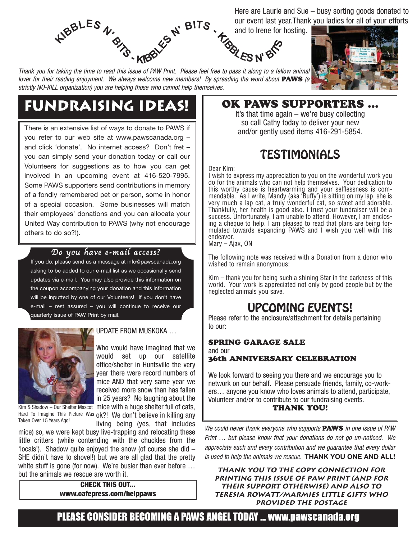

Thank you for taking the time to read this issue of PAW Print. Please feel free to pass it along to a fellow animal lover for their reading enjoyment. We always welcome new members! By spreading the word about **PAWS** (a strictly NO-KILL organization) you are helping those who cannot help themselves.

## **Fundraising Ideas!**

There is an extensive list of ways to donate to PAWS if you refer to our web site at www.pawscanada.org – and click 'donate'. No internet access? Don't fret – you can simply send your donation today or call our Volunteers for suggestions as to how you can get involved in an upcoming event at 416-520-7995. Some PAWS supporters send contributions in memory of a fondly remembered pet or person, some in honor of a special occasion. Some businesses will match their employees' donations and you can allocate your United Way contribution to PAWS (why not encourage others to do so?!).

#### Do you have e-mail access?

If you do, please send us a message at info@pawscanada.org asking to be added to our e-mail list as we occasionally send updates via e-mail. You may also provide this information on the coupon accompanying your donation and this information will be inputted by one of our Volunteers! If you don't have e-mail – rest assured – you will continue to receive our quarterly issue of PAW Print by mail.



Kim & Shadow – Our Shelter Mascot mice with a huge shelter full of cats, Taken Over 15 Years Ago!

#### UPDATE FROM MUSKOKA …

Who would have imagined that we would set up our satellite office/shelter in Huntsville the very year there were record numbers of mice AND that very same year we received more snow than has fallen in 25 years? No laughing about the

Hard To Imagine This Picture Was <sub>O</sub>k?! We don't believe in killing any

living being (yes, that includes mice) so, we were kept busy live-trapping and relocating these little critters (while contending with the chuckles from the 'locals'). Shadow quite enjoyed the snow (of course she did – SHE didn't have to shovel!) but we are all glad that the pretty white stuff is gone (for now). We're busier than ever before ... but the animals we rescue are worth it.

> **CHECK THIS OUT... www.cafepress.com/helppaws**

## **OK PAWS SUPPORTERS**<br>It's that time again – we're busy collecting

so call Cathy today to deliver your new and/or gently used items 416-291-5854.

## TESTIMONIALS

#### Dear Kim:

I wish to express my appreciation to you on the wonderful work you do for the animals who can not help themselves. Your dedication to this worthy cause is heartwarming and your selflessness is commendable. As I write, Mandy (aka 'Buffy') is sitting on my lap, she is very much a lap cat, a truly wonderful cat, so sweet and adorable. Thankfully, her health is good also. I trust your fundraiser will be a success. Unfortunately, I am unable to attend. However, I am enclosing a cheque to help. I am pleased to read that plans are being formulated towards expanding PAWS and I wish you well with this endeavor.

Mary – Ajax, ON

The following note was received with a Donation from a donor who wished to remain anonymous:

Kim – thank you for being such a shining Star in the darkness of this world. Your work is appreciated not only by good people but by the neglected animals you save.

## UPCOMING EVENTS!

Please refer to the enclosure/attachment for details pertaining to our:

#### SPRING GARAGE SALE and our 36th ANNIVERSARY CELEBRATION

We look forward to seeing you there and we encourage you to network on our behalf. Please persuade friends, family, co-workers… anyone you know who loves animals to attend, participate, Volunteer and/or to contribute to our fundraising events.

#### THANK YOU!

We could never thank everyone who supports **PAWS** in one issue of PAW Print … but please know that your donations do not go un-noticed. We appreciate each and every contribution and we guarantee that every dollar is used to help the animals we rescue. **THANK YOU ONE AND ALL!**

**THANK YOU TO THE COPY CONNECTION FOR PRINTING THIS ISSUE OF PAW PRINT (AND FOR THEIR SUPPORT OTHERWISE) AND ALSO TO TERESIA ROWATT/MARMIES LITTLE GIFTS WHO PROVIDED THE POSTAGE**

PLEASE CONSIDER BECOMING A PAWS ANGEL TODAY … www.pawscanada.org

Here are Laurie and Sue – busy sorting goods donated to our event last year.Thank you ladies for all of your efforts

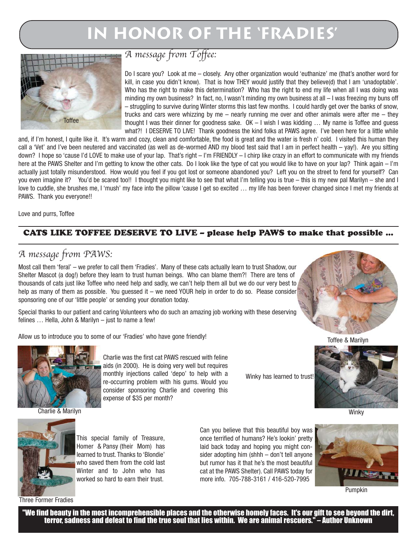# **IN HONOR OF THE 'FRADIES'**



A message from Toffee:

Do I scare you? Look at me – closely. Any other organization would 'euthanize' me (that's another word for kill, in case you didn't know). That is how THEY would justify that they believe(d) that I am 'unadoptable'. Who has the right to make this determination? Who has the right to end my life when all I was doing was minding my own business? In fact, no, I wasn't minding my own business at all – I was freezing my buns off – struggling to survive during Winter storms this last few months. I could hardly get over the banks of snow, trucks and cars were whizzing by me – nearly running me over and other animals were after me – they thought I was their dinner for goodness sake. OK – I wish I was kidding … My name is Toffee and guess what?! I DESERVE TO LIVE! Thank goodness the kind folks at PAWS agree. I've been here for a little while

and, if I'm honest, I quite like it. It's warm and cozy, clean and comfortable, the food is great and the water is fresh n' cold. I visited this human they call a 'Vet' and I've been neutered and vaccinated (as well as de-wormed AND my blood test said that I am in perfect health – yay!). Are you sitting down? I hope so 'cause I'd LOVE to make use of your lap. That's right – I'm FRIENDLY – I chirp like crazy in an effort to communicate with my friends here at the PAWS Shelter and I'm getting to know the other cats. Do I look like the type of cat you would like to have on your lap? Think again – I'm actually just totally misunderstood. How would you feel if you got lost or someone abandoned you? Left you on the street to fend for yourself? Can you even imagine it? You'd be scared too!! I thought you might like to see that what I'm telling you is true – this is my new pal Marilyn – she and I love to cuddle, she brushes me, I 'mush' my face into the pillow 'cause I get so excited … my life has been forever changed since I met my friends at PAWS. Thank you everyone!!

Love and purrs, Toffee

#### CATS LIKE TOFFEE DESERVE TO LIVE – please help PAWS to make that possible ...

## A message from PAWS:

Most call them 'feral' – we prefer to call them 'Fradies'. Many of these cats actually learn to trust Shadow, our Shelter Mascot (a dog!) before they learn to trust human beings. Who can blame them?! There are tens of thousands of cats just like Toffee who need help and sadly, we can't help them all but we do our very best to help as many of them as possible. You guessed it – we need YOUR help in order to do so. Please consider sponsoring one of our 'little people' or sending your donation today.

Special thanks to our patient and caring Volunteers who do such an amazing job working with these deserving felines … Hella, John & Marilyn – just to name a few!

Allow us to introduce you to some of our 'Fradies' who have gone friendly!



Charlie & Marilyn

Charlie was the first cat PAWS rescued with feline aids (in 2000). He is doing very well but requires monthly injections called 'depo' to help with a re-occurring problem with his gums. Would you consider sponsoring Charlie and covering this expense of \$35 per month?

Winky has learned to trust!



Toffee & Marilyn



**Winky** 



This special family of Treasure, Homer & Pansy (their Mom) has learned to trust. Thanks to 'Blondie' who saved them from the cold last Winter and to John who has worked so hard to earn their trust.

Can you believe that this beautiful boy was once terrified of humans? He's lookin' pretty laid back today and hoping you might consider adopting him (shhh – don't tell anyone but rumor has it that he's the most beautiful cat at the PAWS Shelter). Call PAWS today for more info. 705-788-3161 / 416-520-7995



Pumpkin

Three Former Fradies

"We find beauty in the most incomprehensible places and the otherwise homely faces. It's our gift to see beyond the dirt, terror, sadness and defeat to find the true soul that lies within. We are animal rescuers." – Author Unknown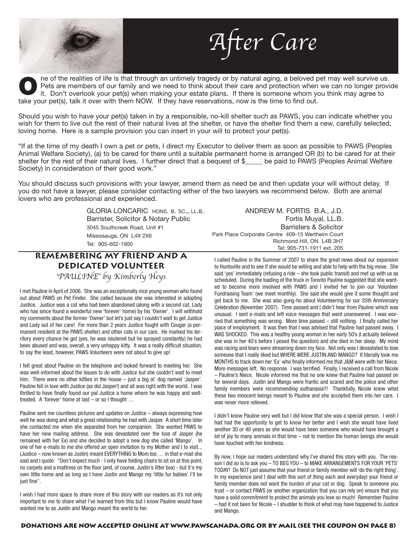ne of the realities of life is that through an untimely tragedy or by natural aging, a beloved pet may well survive us. Pets are members of our family and we need to think about their care and protection when we can no longer provide it. Don't overlook your pet(s) when making your estate plans. If there is someone whom you think may agree to The of the realities of life is that through an untimely tragedy or by natural aging, a beloved prets are members of our family and we need to think about their care and protection when it. Don't overlook your pet(s) when

Should you wish to have your pet(s) taken in by a responsible, no-kill shelter such as PAWS, you can indicate whether you wish for them to live out the rest of their natural lives at the shelter, or have the shelter find them a new, carefully selected, loving home. Here is a sample provision you can insert in your will to protect your pet(s).

"If at the time of my death I own a pet or pets, I direct my Executor to deliver them as soon as possible to PAWS (Peoples Animal Welfare Society), (a) to be cared for there until a suitable permanent home is arranged OR (b) to be cared for at their shelter for the rest of their natural lives. I further direct that a bequest of \$\_\_\_\_\_ be paid to PAWS (Peoples Animal Welfare Society) in consideration of their good work."

You should discuss such provisions with your lawyer, amend them as need be and then update your will without delay. If you do not have a lawyer, please consider contacting either of the two lawyers we recommend below. Both are animal lovers who are professional and experienced.

> GLORIA LONCARIC HONS. B. SC., LL.B. Barrister, Solicitor & Notary Public 3045 Southcreek Road, Unit #1 Mississauga, ON L4X 2X6 Tel: 905-602-1900

ANDREW M. FORTIS B.A., J.D. Fortis Muyal, LL.B. Barristers & Solicitor Park Place Corporate Centre 409-15 Wertheim Court Richmond Hill, ON L4B 3H7 Tel: 905-731-1911 ext. 205

After Care

#### **REMEMBERING My Friend and A Dedicated Volunteer** -PAULINE by Kimberly Heys

I met Pauline in April of 2006. She was an exceptionally nice young woman who found out about PAWS on Pet Finder. She called because she was interested in adopting Justice. Justice was a cat who had been abandoned (along with a second cat, Lady who has since found a wonderful new 'forever' home) by his 'Owner'. I will withhold my comments about the former 'Owner' but let's just say I couldn't wait to get Justice and Lady out of her care! For more than 2 years Justice fought with Cougar (a permanent resident at the PAWS shelter) and other cats in our care. He marked his territory every chance he got (yes, he was neutered but he sprayed constantly) he had been abused and was, overall, a very unhappy kitty. It was a really difficult situation, to say the least, however, PAWS Volunteers were not about to give up!

I felt great about Pauline on the telephone and looked forward to meeting her. She was well-informed about the issues to do with Justice but she couldn't wait to meet him. There were no other kitties in the house – just a big ol' dog named 'Jasper'. Pauline fell in love with Justice (as did Jasper!) and all was right with the world. I was thrilled to have finally found our pal Justice a home where he was happy and welltreated. A 'forever' home at last – or so I thought …

Pauline sent me countless pictures and updates on Justice – always expressing how well he was doing and what a great relationship he had with Jasper. A short time later she contacted me when she separated from her companion. She wanted PAWS to have her new mailing address. She was devastated over the loss of Jasper (he remained with her Ex) and she decided to adopt a new dog she called 'Mango'. In one of her e-mails to me she offered an open invitation to my Mother and I to visit... (Justice – now known as Justin) meant EVERYTHING to Mom too … in that e-mail she said and I quote: "Don't expect much - I only have folding chairs to sit on at this point, no carpets and a mattress on the floor (and, of course, Justin's litter box) - but it's my own little home and as long as I have Justin and Mango my 'little fur babies' I'll be just fine".

I wish I had more space to share more of this story with our readers as it's not only important to me to share what I've learned from this but I know Pauline would have wanted me to as Justin and Mango meant the world to her.

I called Pauline in the Summer of 2007 to share the great news about our expansion to Huntsville and to see if she would be willing and able to help with the big move. She said 'yes' immediately (refusing a ride – she took public transit) and met up with us as scheduled. During the loading of the truck in Toronto Pauline suggested that she wanted to become more involved with PAWS and I invited her to join our 'Volunteer Fundraising Team' (we meet monthly). She said she would give it some thought and get back to me. She was also gung-ho about Volunteering for our 35th Anniversary Celebration (November 2007). Time passed and I didn't hear from Pauline which was unusual. I sent e-mails and left voice messages that went unanswered. I was worried that something was wrong. More time passed – still nothing. I finally called her place of employment. It was then that I was advised that Pauline had passed away. I WAS SHOCKED. This was a healthy young woman in her early 50's (I actually believed she was in her 40's before I posed the question) and she died in her sleep. My mind was racing and tears were streaming down my face. Not only was I devastated to lose someone that I really liked but WHERE WERE JUSTIN AND MANGO? It literally took me MONTHS to track down her 'Ex' who finally informed me that J&M were with her Niece. More messages left. No response. I was terrified. Finally, I received a call from Nicole – Pauline's Niece. Nicole informed me that no one knew that Pauline had passed on for several days. Justin and Mango were frantic and scared and the police and other family members were recommending euthanasia!!! Thankfully, Nicole knew what these two innocent beings meant to Pauline and she accepted them into her care. I was never more relieved.

I didn't know Pauline very well but I did know that she was a special person. I wish I had had the opportunity to get to know her better and I wish she would have lived another 30 or 40 years as she would have been someone who would have brought a lot of joy to many animals in that time – not to mention the human beings she would have touched with her kindness.

By now, I hope our readers understand why I've shared this story with you. The reason I did so is to ask you – TO BEG YOU – to MAKE ARRANGEMENTS FOR YOUR 'PETS' TODAY! Do NOT just assume that your friend or family member will 'do the right thing'. In my experience (and I deal with this sort of thing each and everyday) your friend or family member does not want the burden of your cat or dog. Speak to someone you trust – or contact PAWS (or another organization that you can rely on) ensure that you have a solid commitment to protect the animals you love so much! Remember Pauline – had it not been for Nicole – I shudder to think of what may have happened to Justice and Mango.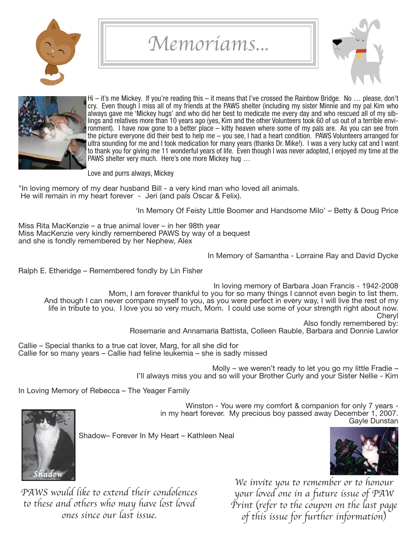

Memoriams...





Hi – it's me Mickey. If you're reading this – it means that I've crossed the Rainbow Bridge. No … please, don't cry. Even though I miss all of my friends at the PAWS shelter (including my sister Minnie and my pal Kim who always gave me 'Mickey hugs' and who did her best to medicate me every day and who rescued all of my siblings and relatives more than 10 years ago (yes, Kim and the other Volunteers took 60 of us out of a terrible environment). I have now gone to a better place – kitty heaven where some of my pals are. As you can see from the picture everyone did their best to help me – you see, I had a heart condition. PAWS Volunteers arranged for ultra sounding for me and I took medication for many years (thanks Dr. Mike!). I was a very lucky cat and I want to thank you for giving me 11 wonderful years of life. Even though I was never adopted, I enjoyed my time at the PAWS shelter very much. Here's one more Mickey hug …

Love and purrs always, Mickey

"In loving memory of my dear husband Bill - a very kind man who loved all animals. He will remain in my heart forever - Jeri (and pals Oscar & Felix).

'In Memory Of Feisty Little Boomer and Handsome Milo' – Betty & Doug Price

Miss Rita MacKenzie – a true animal lover – in her 98th year Miss MacKenzie very kindly remembered PAWS by way of a bequest and she is fondly remembered by her Nephew, Alex

In Memory of Samantha - Lorraine Ray and David Dycke

Ralph E. Etheridge – Remembered fondly by Lin Fisher

In loving memory of Barbara Joan Francis - 1942-2008 Mom, I am forever thankful to you for so many things I cannot even begin to list them. And though I can never compare myself to you, as you were perfect in every way, I will live the rest of my life in tribute to you. I love you so very much, Mom. I could use some of your strength right about now. Cheryl Also fondly remembered by:

Rosemarie and Annamaria Battista, Colleen Rauble, Barbara and Donnie Lawlor

Callie – Special thanks to a true cat lover, Marg, for all she did for Callie for so many years – Callie had feline leukemia – she is sadly missed

> Molly – we weren't ready to let you go my little Fradie – I'll always miss you and so will your Brother Curly and your Sister Nellie - Kim

In Loving Memory of Rebecca – The Yeager Family



Winston - You were my comfort & companion for only 7 years in my heart forever. My precious boy passed away December 1, 2007. Gayle Dunstan

Shadow– Forever In My Heart – Kathleen Neal



PAWS would like to extend their condolences to these and others who may have lost loved ones since our last issue.

We invite you to remember or to honour your loved one in a future issue of PAW Print (refer to the coupon on the last page of this issue for further information